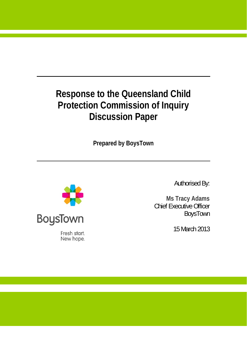# **Response to the Queensland Child Protection Commission of Inquiry Discussion Paper**

**Prepared by BoysTown** 



Fresh start. New hope. Authorised By:

**Ms Tracy Adams**  Chief Executive Officer BoysTown

15 March 2013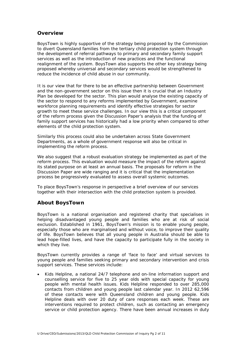# **Overview**

BoysTown is highly supportive of the strategy being proposed by the Commission to divert Queensland families from the tertiary child protection system through the development of referral pathways to primary and secondary family support services as well as the introduction of new practices and the functional realignment of the system. BoysTown also supports the other key strategy being proposed whereby universal and secondary services would be strengthened to reduce the incidence of child abuse in our community.

It is our view that for there to be an effective partnership between Government and the non-government sector on this issue then it is crucial that an Industry Plan be developed for the sector. This plan would analyse the existing capacity of the sector to respond to any reforms implemented by Government, examine workforce planning requirements and identify effective strategies for sector growth to meet these service challenges. In our view this is a critical component of the reform process given the Discussion Paper's analysis that the funding of family support services has historically had a low priority when compared to other elements of the child protection system.

Similarly this process could also be undertaken across State Government Departments, as a whole of government response will also be critical in implementing the reform process.

We also suggest that a robust evaluation strategy be implemented as part of the reform process. This evaluation would measure the impact of the reform against its stated purpose on at least an annual basis. The proposals for reform in the Discussion Paper are wide ranging and it is critical that the implementation process be progressively evaluated to assess overall systemic outcomes.

To place BoysTown's response in perspective a brief overview of our services together with their intersection with the child protection system is provided.

# **About BoysTown**

BoysTown is a national organisation and registered charity that specialises in helping disadvantaged young people and families who are at risk of social exclusion. Established in 1961, BoysTown's mission *is to enable young people, especially those who are marginalised and without voice, to improve their quality of life.* BoysTown believes that all young people in Australia should be able to lead hope-filled lives, and have the capacity to participate fully in the society in which they live.

BoysTown currently provides a range of 'face to face' and virtual services to young people and families seeking primary and secondary intervention and crisis support services. These services include:

• Kids Helpline, a national 24/7 telephone and on-line information support and counselling service for five to 25 year olds with special capacity for young people with mental health issues. Kids Helpline responded to over 285,000 contacts from children and young people last calendar year. In 2012 62,596 of these contacts were with Queensland children and young people. Kids Helpline deals with over 20 duty of care responses each week. These are interventions required to protect children, such as contacting an emergency service or child protection agency. There have been annual increases in duty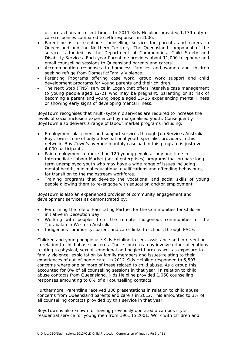of care actions in recent times. In 2011 Kids Helpline provided 1,139 duty of care responses compared to 546 responses in 2006.

- Parentline is a telephone counselling service for parents and carers in Queensland and the Northern Territory. The Queensland component of the service is funded by the Department of Communities, Child Safety and Disability Services. Each year Parentline provides about 11,000 telephone and email counselling sessions to Queensland parents and carers.
- Accommodation responses to homeless families and women and children seeking refuge from Domestic/Family Violence.
- Parenting Programs offering case work, group work support and child development programs for young parents and their children.
- The Next Step (TNS) service in Logan that offers intensive case management to young people aged 12-21 who may be pregnant, parenting or at risk of becoming a parent and young people aged 15-25 experiencing mental illness or showing early signs of developing mental illness.

BoysTown recognises that multi-systemic services are required to increase the levels of social inclusion experienced by marginalised youth. Consequently BoysTown also delivers a range of labour market programs including:

- Employment placement and support services through Job Services Australia. BoysTown is one of only a few national youth specialist providers in this network. BoysTown's average monthly caseload in this program is just over 4,000 participants.
- Paid employment to more than 120 young people at any one time in Intermediate Labour Market (social enterprises) programs that prepare long term unemployed youth who may have a wide range of issues including mental health, minimal educational qualifications and offending behaviours, for transition to the mainstream workforce.
- Training programs that develop the vocational and social skills of young people allowing them to re-engage with education and/or employment.

BoysTown is also an experienced provider of community engagement and development services as demonstrated by:

- Performing the role of Facilitating Partner for the Communities for Children initiative in Deception Bay
- Working with peoples from the remote Indigenous communities of the Tjurabalan in Western Australia
- Indigenous community, parent and carer links to schools through PACE.

Children and young people use Kids Helpline to seek assistance and intervention in relation to child abuse concerns. These concerns may involve either allegations relating to physical, sexual, emotional and neglect harm as well as exposure to family violence, exploitation by family members and issues relating to their experiences of out-of-home care. In 2012 Kids Helpline responded to 5,507 concerns where one or more of these related to child abuse. As a group this accounted for 8% of all counselling sessions in that year. In relation to child abuse contacts from Queensland, Kids Helpline provided 1,068 counselling responses amounting to 8% of all counselling contacts.

Furthermore, Parentline received 386 presentations in relation to child abuse concerns from Queensland parents and carers in 2012. This amounted to 3% of all counselling contacts provided by this service in that year.

BoysTown is also known for having previously operated a campus style residential service for young men from 1961 to 2001. Work with children and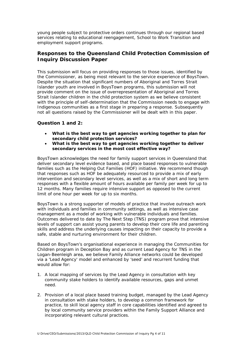young people subject to protective orders continues through our regional based services relating to educational reengagement, School to Work Transition and employment support programs.

# **Responses to the Queensland Child Protection Commission of Inquiry Discussion Paper**

This submission will focus on providing responses to those issues, identified by the Commissioner, as being most relevant to the service experience of BoysTown. Despite the situation that significant numbers of Aboriginal and Torres Strait Islander youth are involved in BoysTown programs, this submission will not provide comment on the issue of overrepresentation of Aboriginal and Torres Strait Islander children in the child protection system as we believe consistent with the principle of self-determination that the Commission needs to engage with Indigenous communities as a first stage in preparing a response. Subsequently not all questions raised by the Commissioner will be dealt with in this paper.

## **Question 1 and 2:**

- *What is the best way to get agencies working together to plan for secondary child protection services?*
- *What is the best way to get agencies working together to deliver secondary services in the most cost effective way?*

BoysTown acknowledges the need for family support services in Queensland that deliver secondary level evidence based, and place based responses to vulnerable families such as the Helping Out Families (HOF) initiative. We recommend though that responses such as HOF be adequately resourced to provide a mix of early intervention and secondary level services, as well as a mix of short and long term responses with a flexible amount of hours available per family per week for up to 12 months. Many families require intensive support as opposed to the current limit of one hour per week for up to six months.

BoysTown is a strong supporter of models of practice that involve outreach work with individuals and families in community settings, as well as intensive case management as a model of working with vulnerable individuals and families. Outcomes delivered to date by The Next Step (TNS) program prove that intensive levels of support can assist young parents to develop their core life and parenting skills and address the underlying causes impacting on their capacity to provide a safe, stable and nurturing environment for their children.

Based on BoysTown's organisational experience in managing the Communities for Children program in Deception Bay and as current Lead Agency for TNS in the Logan-Beenleigh area, we believe Family Alliance networks could be developed via a 'Lead Agency' model and enhanced by 'seed' and recurrent funding that would allow for:

- 1. A local mapping of services by the Lead Agency in consultation with key community stake holders to identify available resources, gaps and unmet need.
- 2. Provision of a local place based training budget, managed by the Lead Agency in consultation with stake holders, to develop a common framework for practice, to skill local agency staff in core capabilities identified and agreed to by local community service providers within the Family Support Alliance and incorporating relevant cultural practices.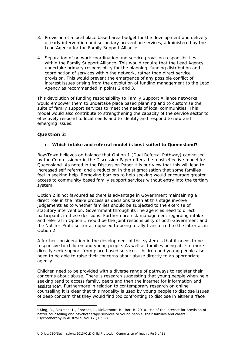- 3. Provision of a local place based area budget for the development and delivery of early intervention and secondary prevention services, administered by the Lead Agency for the Family Support Alliance.
- 4. Separation of network coordination and service provision responsibilities within the Family Support Alliance. This would require that the Lead Agency undertake primary responsibility for the planning, funding distribution and coordination of services within the network, rather than direct service provision. This would prevent the emergence of any possible conflict of interest issues arising from the devolution of funding management to the Lead Agency as recommended in points 2 and 3.

This devolution of funding responsibility to Family Support Alliance networks would empower them to undertake place based planning and to customise the suite of family support services to meet the needs of local communities. This model would also contribute to strengthening the capacity of the service sector to effectively respond to local needs and to identify and respond to new and emerging issues.

# **Question 3:**

1

#### • *Which intake and referral model is best suited to Queensland?*

BoysTown believes on balance that Option 1 (Dual Referral Pathway) canvassed by the Commissioner in the Discussion Paper offers the most effective model for Queensland. As noted in the Discussion Paper it is our view that this will lead to increased self referral and a reduction in the stigmatisation that some families feel in seeking help. Removing barriers to help seeking would encourage greater access to community based family support services without entry into the tertiary system.

Option 2 is not favoured as there is advantage in Government maintaining a direct role in the intake process as decisions taken at this stage involve judgements as to whether families should be subjected to the exercise of statutory intervention. Government through its line agencies need to direct participants in these decisions. Furthermore risk management regarding intake and referral in Option 1 would be the joint responsibility of both Government and the Not-for-Profit sector as opposed to being totally transferred to the latter as in Option 2.

A further consideration in the development of this system is that it needs to be responsive to children and young people. As well as families being able to more directly seek support from place based services, children and young people also need to be able to raise their concerns about abuse directly to an appropriate agency.

Children need to be provided with a diverse range of pathways to register their concerns about abuse. There is research suggesting that young people when help seeking tend to access family, peers and then the internet for information and assistance<sup>[1](#page-4-0)</sup>. Furthermore in relation to contemporary research on online counselling it is clear that this modality is used by young people to disclose issues of deep concern that they would find too confronting to disclose in either a 'face

<span id="page-4-0"></span><sup>&</sup>lt;sup>1</sup> King, R., Bickman, L., Shochet, I., McDermott, B., Bor, B. 2010. Use of the internet for provision of better counselling and psychotherapy services to young people, their families and carers. *Psychotherapy in Australia*, Vol 17 (1): 68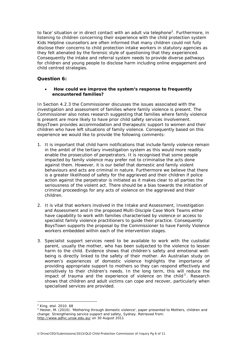to face' situation or in direct contact with an adult via telephone<sup>[2](#page-5-0)</sup>. Furthermore, in listening to children concerning their experience with the child protection system Kids Helpline counsellors are often informed that many children could not fully disclose their concerns to child protection intake workers in statutory agencies as they felt alienated by the forensic style of questioning that they experienced. Consequently the intake and referral system needs to provide diverse pathways for children and young people to disclose harm including online engagement and child centred strategies.

## **Question 6:**

#### • *How could we improve the system's response to frequently encountered families?*

In Section 4.2.3 the Commissioner discusses the issues associated with the investigation and assessment of families where family violence is present. The Commissioner also notes research suggesting that families where family violence is present are more likely to have prior child safety services involvement. BoysTown provides accommodation and therapeutic support to women and their children who have left situations of family violence. Consequently based on this experience we would like to provide the following comments:

- 1. It is important that child harm notifications that include family violence remain in the ambit of the tertiary investigation system as this would more readily enable the prosecution of perpetrators. It is recognised that some people impacted by family violence may prefer not to criminalise the acts done against them. However, it is our belief that domestic and family violent behaviours and acts are criminal in nature. Furthermore we believe that there is a greater likelihood of safety for the aggrieved and their children if police action against the perpetrator is initiated as it makes clear to all parties the seriousness of the violent act. There should be a bias towards the initiation of criminal proceedings for any acts of violence on the aggrieved and their children.
- 2. It is vital that workers involved in the Intake and Assessment, Investigation and Assessment and in the proposed Multi-Disciple Case Work Teams either have capability to work with families characterised by violence or access to specialist family violence practitioners to guide their practice. Consequently BoysTown supports the proposal by the Commissioner to have Family Violence workers embedded within each of the intervention stages.
- 3. Specialist support services need to be available to work with the custodial parent, usually the mother, who has been subjected to the violence to lessen harm to the child. Evidence shows that children's safety and emotional wellbeing is directly linked to the safety of their mother. An Australian study on women's experiences of domestic violence highlights the importance of providing appropriate support to mothers so they can respond effectively and sensitively to their children's needs. In the long term, this will reduce the impact of trauma and the experience of violence on the child<sup>[3](#page-5-1)</sup>. Research shows that children and adult victims can cope and recover, particularly when specialised services are provided.

1

<sup>2</sup> King, etal. 2010. 68

<span id="page-5-1"></span><span id="page-5-0"></span><sup>3</sup> Hester, M. (2010). 'Mothering through domestic violence', paper presented to *Mothers, children and change: Strengthening service support and safety*, Sydney. Retrieved from: <http://www.adfvc.unsw.edu.au/> on 30 August 2011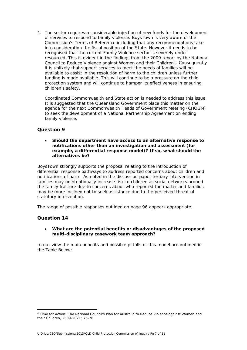4. The sector requires a considerable injection of new funds for the development of services to respond to family violence. BoysTown is very aware of the Commission's Terms of Reference including that any recommendations take into consideration the fiscal position of the State. However it needs to be recognised that the current Family Violence sector is severely under resourced. This is evident in the findings from the 2009 report by the National Council to Reduce Violence against Women and their Children<sup>[4](#page-6-0)</sup>. Consequently it is unlikely that support services to meet the needs of families will be available to assist in the resolution of harm to the children unless further funding is made available. This will continue to be a pressure on the child protection system and will continue to hamper its effectiveness in ensuring children's safety.

Coordinated Commonwealth and State action is needed to address this issue. It is suggested that the Queensland Government place this matter on the agenda for the next Commonwealth Heads of Government Meeting (CHOGM) to seek the development of a National Partnership Agreement on ending family violence.

# **Question 9**

• *Should the department have access to an alternative response to notifications other than an investigation and assessment (for example, a differential response model)? If so, what should the alternatives be?* 

BoysTown strongly supports the proposal relating to the introduction of differential response pathways to address reported concerns about children and notifications of harm. As noted in the discussion paper tertiary intervention in families may unintentionally increase risk to children as social networks around the family fracture due to concerns about who reported the matter and families may be more inclined not to seek assistance due to the perceived threat of statutory intervention.

The range of possible responses outlined on page 96 appears appropriate.

## **Question 14**

1

• *What are the potential benefits or disadvantages of the proposed multi-disciplinary casework team approach?* 

In our view the main benefits and possible pitfalls of this model are outlined in the Table Below:

<span id="page-6-0"></span><sup>&</sup>lt;sup>4</sup> Time for Action: The National Council's Plan for Australia to Reduce Violence against Women and their Children, 2009-2021; 75-76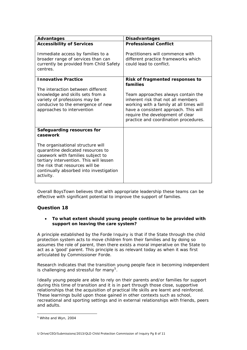| <b>Advantages</b>                                                                                                                                                                                                                                 | <b>Disadvantages</b>                                                                                                                                          |
|---------------------------------------------------------------------------------------------------------------------------------------------------------------------------------------------------------------------------------------------------|---------------------------------------------------------------------------------------------------------------------------------------------------------------|
| <b>Accessibility of Services</b>                                                                                                                                                                                                                  | <b>Professional Conflict</b>                                                                                                                                  |
| Immediate access by families to a<br>broader range of services than can<br>currently be provided from Child Safety<br>centres.                                                                                                                    | Practitioners will commence with<br>different practice frameworks which<br>could lead to conflict.                                                            |
| <b>Innovative Practice</b><br>The interaction between different<br>knowledge and skills sets from a<br>variety of professions may be                                                                                                              | Risk of fragmented responses to<br>families<br>Team approaches always contain the<br>inherent risk that not all members                                       |
| conducive to the emergence of new<br>approaches to intervention                                                                                                                                                                                   | working with a family at all times will<br>have a consistent approach. This will<br>require the development of clear<br>practice and coordination procedures. |
| Safeguarding resources for<br>casework                                                                                                                                                                                                            |                                                                                                                                                               |
| The organisational structure will<br>quarantine dedicated resources to<br>casework with families subject to<br>tertiary intervention. This will lessen<br>the risk that resources will be<br>continually absorbed into investigation<br>activity. |                                                                                                                                                               |

Overall BoysTown believes that with appropriate leadership these teams can be effective with significant potential to improve the support of families.

# **Question 18**

#### • *To what extent should young people continue to be provided with support on leaving the care system?*

A principle established by the Forde Inquiry is that if the State through the child protection system acts to move children from their families and by doing so assumes the role of parent, then there exists a moral imperative on the State to act as a 'good' parent. This principle is as relevant today as when it was first articulated by Commissioner Forde.

Research indicates that the transition young people face in becoming independent is challenging and stressful for many<sup>[5](#page-7-0)</sup>.

Ideally young people are able to rely on their parents and/or families for support during this time of transition and it is in part through those close, supportive relationships that the acquisition of practical life skills are learnt and reinforced. These learnings build upon those gained in other contexts such as school, recreational and sporting settings and in external relationships with friends, peers and adults.

1

<span id="page-7-0"></span><sup>5</sup> White and Wyn, 2004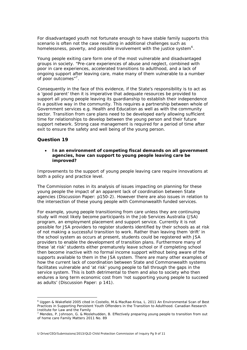For disadvantaged youth not fortunate enough to have stable family supports this scenario is often not the case resulting in additional challenges such as homelessness, poverty, and possible involvement with the justice system<sup>[6](#page-8-0)</sup>.

Young people exiting care form one of the most vulnerable and disadvantaged groups in society. *"Pre-care experiences of abuse and neglect, combined with poor in care experiences, accelerated transitions to adulthood, and a lack of ongoing support after leaving care, make many of them vulnerable to a number of poor outcomes"[7](#page-8-1).*

Consequently in the face of this evidence, if the State's responsibility is to act as a 'good parent' then it is imperative that adequate resources be provided to support all young people leaving its guardianship to establish their independence in a positive way in the community. This requires a partnership between whole of Government services e.g. Health and Education as well as with the community sector. Transition from care plans need to be developed early allowing sufficient time for relationships to develop between the young person and their future support network. Strong case management is required for a period of time after exit to ensure the safety and well being of the young person.

## **Question 19**

1

• **In an environment of competing fiscal demands on all government agencies, how can support to young people leaving care be improved?** 

Improvements to the support of young people leaving care require innovations at both a policy and practice level.

The Commission notes in its analysis of issues impacting on planning for these young people the impact of an apparent lack of coordination between State agencies (Discussion Paper: p150-2). However there are also issues in relation to the intersection of these young people with Commonwealth funded services.

For example, young people transitioning from care unless they are continuing study will most likely become participants in the Job Services Australia (JSA) program, an employment placement and support service. Currently it is not possible for JSA providers to register students identified by their schools as at risk of not making a successful transition to work. Rather than leaving them 'drift' in the school system as occurs at present, students could be registered with JSA providers to enable the development of transition plans. Furthermore many of these 'at risk' students either prematurely leave school or if completing school then become inactive with no formal income support without being aware of the supports available to them in the JSA system. There are many other examples of how the current lack of coordination between State and Commonwealth systems facilitates vulnerable and 'at risk' young people to fall through the gaps in the service system. This is both detrimental to them and also to society who then endures a long term economic cost from 'not supporting young people to succeed as adults' (Discussion Paper: p 141).

<span id="page-8-0"></span><sup>6</sup> Uggen & Wakefield 2005 cited in Costello, M.& MacRae-Krisa, L. 2011 An Environmental Scan of Best Practices in Supporting Persistent Youth Offenders in the Transition to Adulthood*. Canadian Research Institute for Law and the Family*

<span id="page-8-1"></span><sup>&</sup>lt;sup>7</sup> Mendes, P. Johnson, G. & Moslehudden, B. Effectively preparing young people to transition from out of home care *Family Matters* 2011 No. 89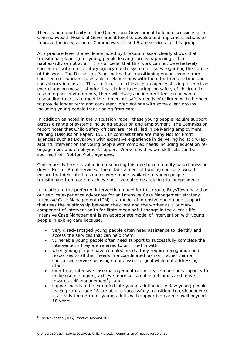There is an opportunity for the Queensland Government to lead discussions at a Commonwealth Heads of Government level to develop and implement actions to improve the integration of Commonwealth and State services for this group.

At a practice level the evidence noted by the Commission clearly shows that transitional planning for young people leaving care is happening either haphazardly or not at all. It is our belief that this work can not be effectively carried out within a statutory agency due to systemic issues regarding the nature of this work. The Discussion Paper notes that transitioning young people from care requires workers to establish relationships with them that require time and consistency in contact. This is difficult to achieve in an agency striving to meet an ever changing mosaic of priorities relating to ensuring the safety of children. In resource poor environments, there will always be inherent tension between responding to crisis to meet the immediate safety needs of children with the need to provide longer term and consistent interventions with some client groups including young people transitioning from care.

In addition as noted in the Discussion Paper, these young people require support across a range of systems including education and employment. The Commission report notes that Child Safety officers are not skilled in delivering employment training (Discussion Paper: 151). In contrast there are many Not for Profit agencies such as BoysTown with extensive experience in delivering holistic wraparound intervention for young people with complex needs including education reengagement and employment support. Workers with wider skill sets can be sourced from Not for Profit agencies.

Consequently there is value in outsourcing this role to community based, mission driven Not for Profit services. The establishment of funding contracts would ensure that dedicated resources were made available to young people transitioning from care to achieve positive outcomes relating to independence.

In relation to the preferred intervention model for this group, BoysTown based on our service experience advocates for an Intensive Case Management strategy. Intensive Case Management (ICM) is a model of intensive one on one support that uses the relationship between the client and the worker as a primary component of intervention to facilitate meaningful change in the client's life. Intensive Case Management is an appropriate model of intervention with young people in exiting care because:

- very disadvantaged young people often need assistance to identify and access the services that can help them;
- vulnerable young people often need support to successfully complete the interventions they are referred to or linked in with;
- when young people have complex needs, they require recognition and responses to all their needs in a coordinated fashion, rather than a specialised service focusing on one issue or goal while not addressing others;
- over time, intensive case management can increase a person's capacity to make use of support, achieve more sustainable outcomes and move towards self-management<sup>[8](#page-9-0)</sup>; and
- support needs to be extended into young adulthood, as few young people leaving care at age 18 are able to successfully transition. Interdependence is already the norm for young adults with supportive parents well beyond 18 years.

1

<span id="page-9-0"></span><sup>&</sup>lt;sup>8</sup> The Next Step (TNS) Practice Manual 2013